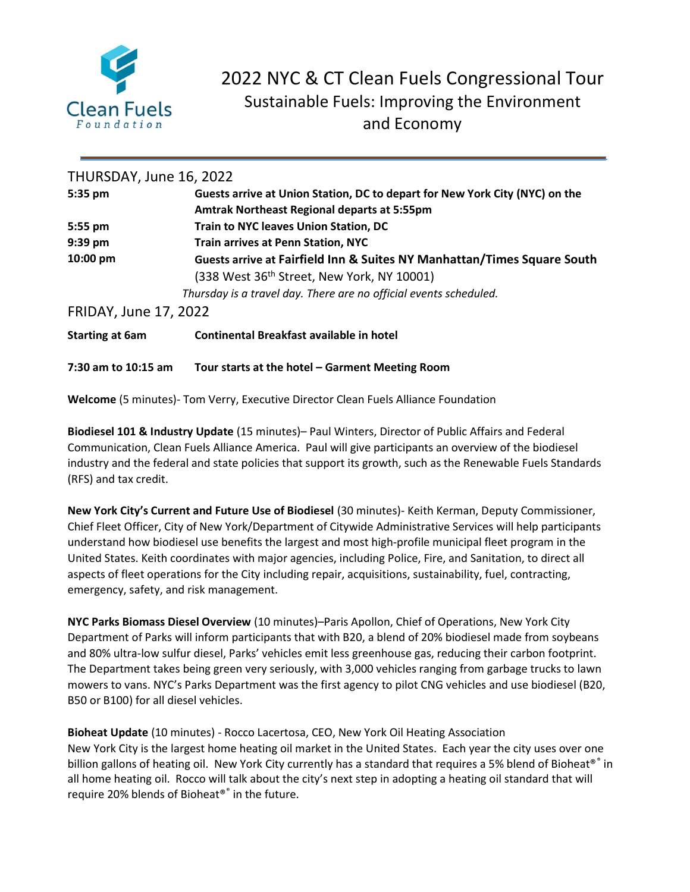

# 2022 NYC & CT Clean Fuels Congressional Tour Sustainable Fuels: Improving the Environment and Economy

| THURSDAY, June 16, 2022      |                                                                             |  |
|------------------------------|-----------------------------------------------------------------------------|--|
| 5:35 pm                      | Guests arrive at Union Station, DC to depart for New York City (NYC) on the |  |
|                              | Amtrak Northeast Regional departs at 5:55pm                                 |  |
| $5:55$ pm                    | <b>Train to NYC leaves Union Station, DC</b>                                |  |
| $9:39$ pm                    | <b>Train arrives at Penn Station, NYC</b>                                   |  |
| 10:00 pm                     | Guests arrive at Fairfield Inn & Suites NY Manhattan/Times Square South     |  |
|                              | (338 West 36 <sup>th</sup> Street, New York, NY 10001)                      |  |
|                              | Thursday is a travel day. There are no official events scheduled.           |  |
| <b>FRIDAY, June 17, 2022</b> |                                                                             |  |
| <b>Starting at 6am</b>       | Continental Breakfast available in hotel                                    |  |
| 7:30 am to 10:15 am          | Tour starts at the hotel – Garment Meeting Room                             |  |

Welcome (5 minutes)- Tom Verry, Executive Director Clean Fuels Alliance Foundation

Biodiesel 101 & Industry Update (15 minutes)– Paul Winters, Director of Public Affairs and Federal Communication, Clean Fuels Alliance America. Paul will give participants an overview of the biodiesel industry and the federal and state policies that support its growth, such as the Renewable Fuels Standards (RFS) and tax credit.

New York City's Current and Future Use of Biodiesel (30 minutes)- Keith Kerman, Deputy Commissioner, Chief Fleet Officer, City of New York/Department of Citywide Administrative Services will help participants understand how biodiesel use benefits the largest and most high-profile municipal fleet program in the United States. Keith coordinates with major agencies, including Police, Fire, and Sanitation, to direct all aspects of fleet operations for the City including repair, acquisitions, sustainability, fuel, contracting, emergency, safety, and risk management.

NYC Parks Biomass Diesel Overview (10 minutes)–Paris Apollon, Chief of Operations, New York City Department of Parks will inform participants that with B20, a blend of 20% biodiesel made from soybeans and 80% ultra-low sulfur diesel, Parks' vehicles emit less greenhouse gas, reducing their carbon footprint. The Department takes being green very seriously, with 3,000 vehicles ranging from garbage trucks to lawn mowers to vans. NYC's Parks Department was the first agency to pilot CNG vehicles and use biodiesel (B20, B50 or B100) for all diesel vehicles.

Bioheat Update (10 minutes) - Rocco Lacertosa, CEO, New York Oil Heating Association New York City is the largest home heating oil market in the United States. Each year the city uses over one billion gallons of heating oil. New York City currently has a standard that requires a 5% blend of Bioheat®® in all home heating oil. Rocco will talk about the city's next step in adopting a heating oil standard that will require 20% blends of Bioheat®® in the future.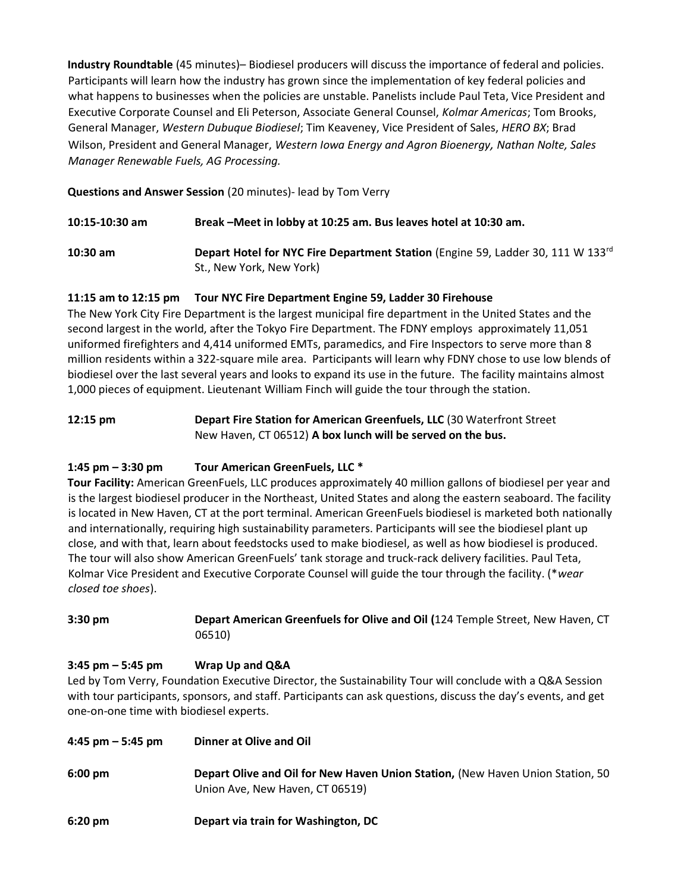Industry Roundtable (45 minutes)– Biodiesel producers will discuss the importance of federal and policies. Participants will learn how the industry has grown since the implementation of key federal policies and what happens to businesses when the policies are unstable. Panelists include Paul Teta, Vice President and Executive Corporate Counsel and Eli Peterson, Associate General Counsel, Kolmar Americas; Tom Brooks, General Manager, Western Dubuque Biodiesel; Tim Keaveney, Vice President of Sales, HERO BX; Brad Wilson, President and General Manager, Western Iowa Energy and Agron Bioenergy, Nathan Nolte, Sales Manager Renewable Fuels, AG Processing.

Questions and Answer Session (20 minutes)- lead by Tom Verry

| 10:15-10:30 am | Break-Meet in lobby at 10:25 am. Bus leaves hotel at 10:30 am. |  |
|----------------|----------------------------------------------------------------|--|
|----------------|----------------------------------------------------------------|--|

10:30 am Depart Hotel for NYC Fire Department Station (Engine 59, Ladder 30, 111 W 133<sup>rd</sup> St., New York, New York)

## 11:15 am to 12:15 pm Tour NYC Fire Department Engine 59, Ladder 30 Firehouse

The New York City Fire Department is the largest municipal fire department in the United States and the second largest in the world, after the Tokyo Fire Department. The FDNY employs approximately 11,051 uniformed firefighters and 4,414 uniformed EMTs, paramedics, and Fire Inspectors to serve more than 8 million residents within a 322-square mile area. Participants will learn why FDNY chose to use low blends of biodiesel over the last several years and looks to expand its use in the future. The facility maintains almost 1,000 pieces of equipment. Lieutenant William Finch will guide the tour through the station.

### 12:15 pm Depart Fire Station for American Greenfuels, LLC (30 Waterfront Street New Haven, CT 06512) A box lunch will be served on the bus.

## 1:45 pm – 3:30 pm Tour American GreenFuels, LLC \*

Tour Facility: American GreenFuels, LLC produces approximately 40 million gallons of biodiesel per year and is the largest biodiesel producer in the Northeast, United States and along the eastern seaboard. The facility is located in New Haven, CT at the port terminal. American GreenFuels biodiesel is marketed both nationally and internationally, requiring high sustainability parameters. Participants will see the biodiesel plant up close, and with that, learn about feedstocks used to make biodiesel, as well as how biodiesel is produced. The tour will also show American GreenFuels' tank storage and truck-rack delivery facilities. Paul Teta, Kolmar Vice President and Executive Corporate Counsel will guide the tour through the facility. (\*wear closed toe shoes).

3:30 pm Depart American Greenfuels for Olive and Oil (124 Temple Street, New Haven, CT 06510)

#### 3:45 pm – 5:45 pm Wrap Up and Q&A

Led by Tom Verry, Foundation Executive Director, the Sustainability Tour will conclude with a Q&A Session with tour participants, sponsors, and staff. Participants can ask questions, discuss the day's events, and get one-on-one time with biodiesel experts.

| 4:45 pm $-$ 5:45 pm | Dinner at Olive and Oil                                                                                           |
|---------------------|-------------------------------------------------------------------------------------------------------------------|
| $6:00 \text{ pm}$   | Depart Olive and Oil for New Haven Union Station, (New Haven Union Station, 50<br>Union Ave, New Haven, CT 06519) |
| $6:20 \text{ pm}$   | Depart via train for Washington, DC                                                                               |